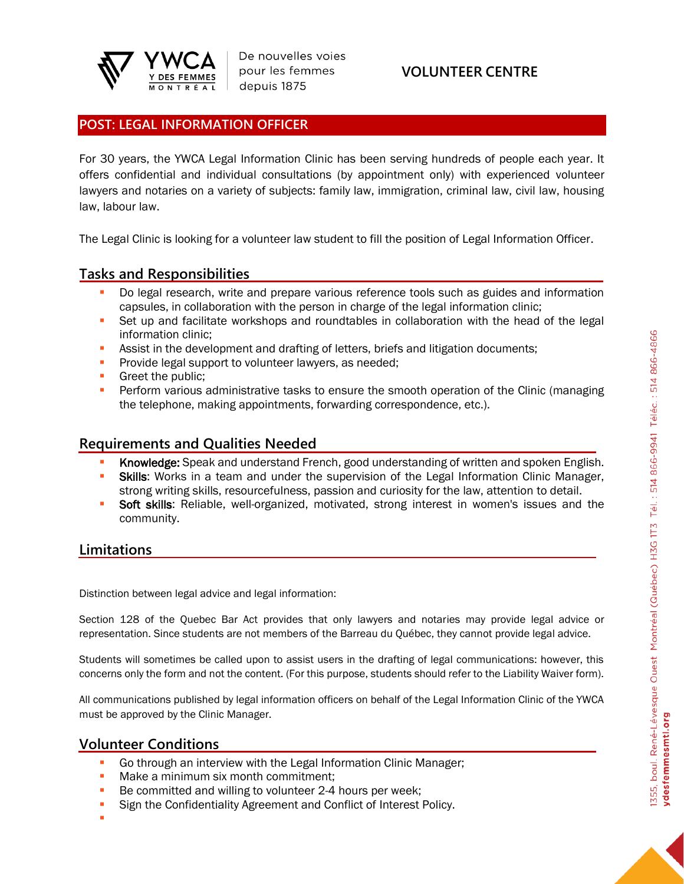

De nouvelles voies pour les femmes depuis 1875

## **VOLUNTEER CENTRE**

### **POST: LEGAL INFORMATION OFFICER**

For 30 years, the YWCA Legal Information Clinic has been serving hundreds of people each year. It offers confidential and individual consultations (by appointment only) with experienced volunteer lawyers and notaries on a variety of subjects: family law, immigration, criminal law, civil law, housing law, labour law.

The Legal Clinic is looking for a volunteer law student to fill the position of Legal Information Officer.

### **Tasks and Responsibilities**

- Do legal research, write and prepare various reference tools such as guides and information capsules, in collaboration with the person in charge of the legal information clinic;
- Set up and facilitate workshops and roundtables in collaboration with the head of the legal information clinic;
- Assist in the development and drafting of letters, briefs and litigation documents;
- **Provide legal support to volunteer lawyers, as needed;**
- **•** Greet the public:
- **Perform various administrative tasks to ensure the smooth operation of the Clinic (managing** the telephone, making appointments, forwarding correspondence, etc.).

### **Requirements and Qualities Needed**

- Knowledge: Speak and understand French, good understanding of written and spoken English.
- **Skills:** Works in a team and under the supervision of the Legal Information Clinic Manager, strong writing skills, resourcefulness, passion and curiosity for the law, attention to detail.
- **Soft skills:** Reliable, well-organized, motivated, strong interest in women's issues and the community.

### **Limitations**

Distinction between legal advice and legal information:

Section 128 of the Quebec Bar Act provides that only lawyers and notaries may provide legal advice or representation. Since students are not members of the Barreau du Québec, they cannot provide legal advice.

Students will sometimes be called upon to assist users in the drafting of legal communications: however, this concerns only the form and not the content. (For this purpose, students should refer to the Liability Waiver form).

All communications published by legal information officers on behalf of the Legal Information Clinic of the YWCA must be approved by the Clinic Manager.

### **Volunteer Conditions**

- **Go through an interview with the Legal Information Clinic Manager:**
- **■** Make a minimum six month commitment:
- Be committed and willing to volunteer 2-4 hours per week;
- **EXECT:** Sign the Confidentiality Agreement and Conflict of Interest Policy.
- ▪